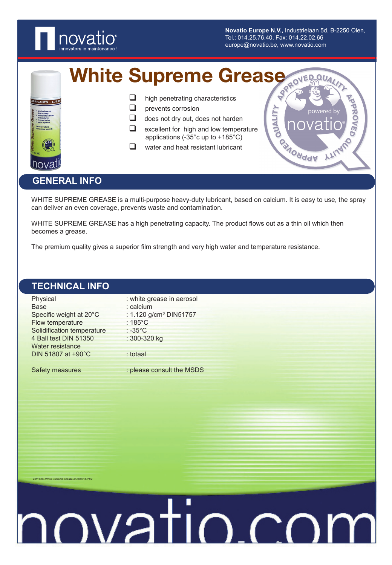

**Novatio Europe N.V.,** Industrielaan 5d, B-2250 Olen, Tel.: 014.25.76.40, Fax: 014.22.02.66 europe@novatio.be, www.novatio.com

White Supreme Grease



| ❏ |  |  | high penetrating characteristics |
|---|--|--|----------------------------------|
|---|--|--|----------------------------------|

- $\Box$  prevents corrosion
- $\Box$  does not dry out, does not harden
- $\Box$  excellent for high and low temperature applications (-35°c up to +185°C)
- $\Box$  water and heat resistant lubricant



# **GENERAL INFO**

23111000-White Supreme Grease-en-070614-P1/2

WHITE SUPREME GREASE is a multi-purpose heavy-duty lubricant, based on calcium. It is easy to use, the spray can deliver an even coverage, prevents waste and contamination.

WHITE SUPREME GREASE has a high penetrating capacity. The product flows out as a thin oil which then becomes a grease.

The premium quality gives a superior film strength and very high water and temperature resistance.

| <b>TECHNICAL INFO</b>      |                                    |  |
|----------------------------|------------------------------------|--|
| Physical                   | : white grease in aerosol          |  |
| <b>Base</b>                | : calcium                          |  |
| Specific weight at 20°C    | : 1.120 g/cm <sup>3</sup> DIN51757 |  |
| Flow temperature           | $:185^{\circ}$ C                   |  |
| Solidification temperature | $: -35^{\circ}$ C                  |  |
| 4 Ball test DIN 51350      | : 300-320 kg                       |  |
| Water resistance           |                                    |  |
| DIN 51807 at +90°C         | : totaal                           |  |
|                            |                                    |  |
| Safety measures            | : please consult the MSDS          |  |
|                            |                                    |  |

# novatio.co